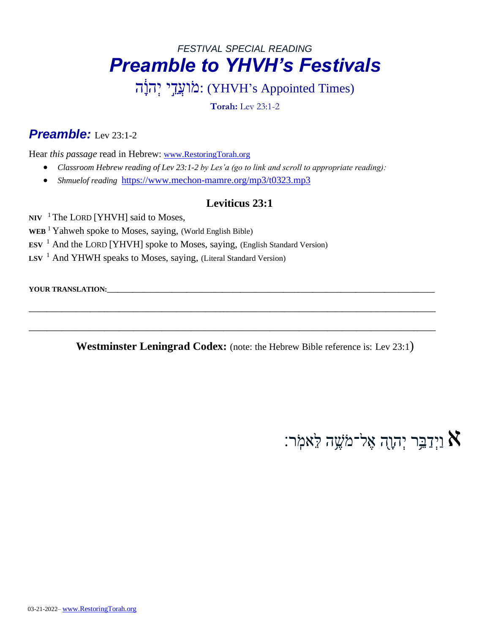## *FESTIVAL SPECIAL READING Preamble to YHVH's Festivals*

מֹועֲדֵי יְהוֹה: (YHVH's Appointed Times)

**Torah:** Lev 23:1-2

#### *Preamble:* Lev 23:1-2

Hear *this passage* read in Hebrew: [www.RestoringTorah.org](http://www.restoringtorah.org/)

- *Classroom Hebrew reading of Lev 23:1-2 by Les'a (go to link and scroll to appropriate reading):*
- *Shmuelof reading* <https://www.mechon-mamre.org/mp3/t0323.mp3>

#### **Leviticus 23:1**

NIV <sup>1</sup> The LORD [YHVH] said to Moses,

- **WEB** <sup>1</sup> Yahweh spoke to Moses, saying, (World English Bible)
- **ESV** <sup>[1](http://biblehub.com/deuteronomy/7-12.htm)</sup> And the LORD [YHVH] spoke to Moses, saying, (English Standard Version)
- LSV <sup>[1](http://biblehub.com/deuteronomy/7-12.htm)</sup> And YHWH speaks to Moses, saying, (Literal Standard Version)

**YOUR TRANSLATION:** 

**Westminster Leningrad Codex:** (note: the Hebrew Bible reference is: Lev 23:1)

**\_\_\_\_\_\_\_\_\_\_\_\_\_\_\_\_\_\_\_\_\_\_\_\_\_\_\_\_\_\_\_\_\_\_\_\_\_\_\_\_\_\_\_\_\_\_\_\_\_\_\_\_\_\_\_\_\_\_\_\_\_\_\_\_\_\_\_\_\_\_\_\_\_\_\_\_\_\_\_\_\_\_\_\_\_\_\_\_\_\_\_\_\_\_\_\_\_\_\_\_\_\_\_\_\_\_\_\_\_\_\_\_\_**

**\_\_\_\_\_\_\_\_\_\_\_\_\_\_\_\_\_\_\_\_\_\_\_\_\_\_\_\_\_\_\_\_\_\_\_\_\_\_\_\_\_\_\_\_\_\_\_\_\_\_\_\_\_\_\_\_\_\_\_\_\_\_\_\_\_\_\_\_\_\_\_\_\_\_\_\_\_\_\_\_\_\_\_\_\_\_\_\_\_\_\_\_\_\_\_\_\_\_\_\_\_\_\_\_\_\_\_\_\_\_\_\_\_**

וַיְדַבֵּ֣ר יְהוָה אֶל־מֹשֶׁה לֵאמִׂר:  $\aleph$